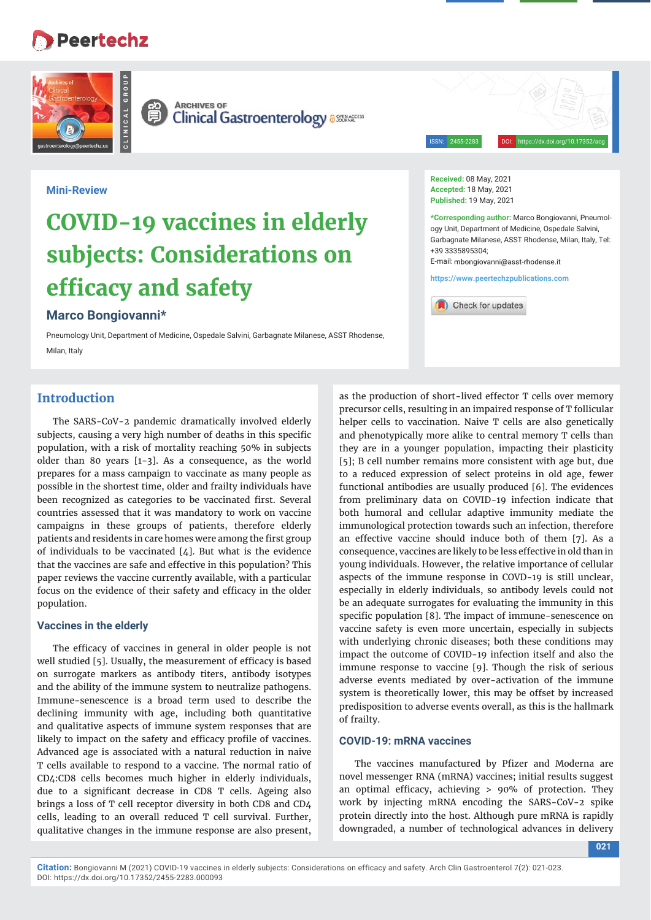# **Peertechz**





**CLINICAL GROUP**

**ARCHIVES OF Clinical Gastroenterology assessed** 

ISSN: 2455-2283 DOI: https://dx.doi.org/10.17352/a

#### **Mini-Review**

# **COVID-19 vaccines in elderly subjects: Considerations on efficacy and safety**

# **Marco Bongiovanni\***

Pneumology Unit, Department of Medicine, Ospedale Salvini, Garbagnate Milanese, ASST Rhodense, Milan, Italy

# **Introduction**

The SARS-CoV-2 pandemic dramatically involved elderly subjects, causing a very high number of deaths in this specific population, with a risk of mortality reaching 50% in subjects older than 80 years [1-3]. As a consequence, as the world prepares for a mass campaign to vaccinate as many people as possible in the shortest time, older and frailty individuals have been recognized as categories to be vaccinated first. Several countries assessed that it was mandatory to work on vaccine campaigns in these groups of patients, therefore elderly patients and residents in care homes were among the first group of individuals to be vaccinated  $[4]$ . But what is the evidence that the vaccines are safe and effective in this population? This paper reviews the vaccine currently available, with a particular focus on the evidence of their safety and efficacy in the older population.

#### **Vaccines in the elderly**

The efficacy of vaccines in general in older people is not well studied [5]. Usually, the measurement of efficacy is based on surrogate markers as antibody titers, antibody isotypes and the ability of the immune system to neutralize pathogens. Immune-senescence is a broad term used to describe the declining immunity with age, including both quantitative and qualitative aspects of immune system responses that are likely to impact on the safety and efficacy profile of vaccines. Advanced age is associated with a natural reduction in naive T cells available to respond to a vaccine. The normal ratio of CD4:CD8 cells becomes much higher in elderly individuals, due to a significant decrease in CD8 T cells. Ageing also brings a loss of T cell receptor diversity in both CD8 and CD4 cells, leading to an overall reduced T cell survival. Further, qualitative changes in the immune response are also present,

**Received:** 08 May, 2021 **Accepted:** 18 May, 2021 **Published:** 19 May, 2021

**\*Corresponding author:** Marco Bongiovanni, Pneumology Unit, Department of Medicine, Ospedale Salvini, Garbagnate Milanese, ASST Rhodense, Milan, Italy, Tel: +39 3335895304;

E-mail: mbongiovanni@asst-rhodense it

**https://www.peertechzpublications.com**

Check for updates

as the production of short-lived effector T cells over memory precursor cells, resulting in an impaired response of T follicular helper cells to vaccination. Naive T cells are also genetically and phenotypically more alike to central memory T cells than they are in a younger population, impacting their plasticity [5]; B cell number remains more consistent with age but, due to a reduced expression of select proteins in old age, fewer functional antibodies are usually produced [6]. The evidences from preliminary data on COVID-19 infection indicate that both humoral and cellular adaptive immunity mediate the immunological protection towards such an infection, therefore an effective vaccine should induce both of them [7]. As a consequence, vaccines are likely to be less effective in old than in young individuals. However, the relative importance of cellular aspects of the immune response in COVD-19 is still unclear, especially in elderly individuals, so antibody levels could not be an adequate surrogates for evaluating the immunity in this specific population [8]. The impact of immune-senescence on vaccine safety is even more uncertain, especially in subjects with underlying chronic diseases; both these conditions may impact the outcome of COVID-19 infection itself and also the immune response to vaccine [9]. Though the risk of serious adverse events mediated by over-activation of the immune system is theoretically lower, this may be offset by increased predisposition to adverse events overall, as this is the hallmark of frailty.

# **COVID-19: mRNA vaccines**

The vaccines manufactured by Pfizer and Moderna are novel messenger RNA (mRNA) vaccines; initial results suggest an optimal efficacy, achieving  $> 90\%$  of protection. They work by injecting mRNA encoding the SARS-CoV-2 spike protein directly into the host. Although pure mRNA is rapidly downgraded, a number of technological advances in delivery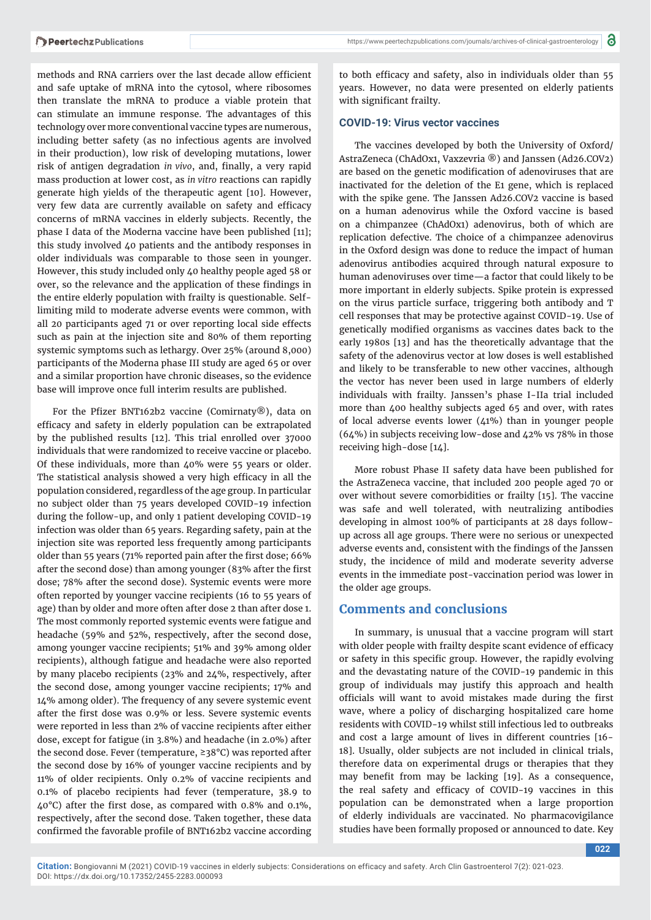methods and RNA carriers over the last decade allow efficient and safe uptake of mRNA into the cytosol, where ribosomes then translate the mRNA to produce a viable protein that can stimulate an immune response. The advantages of this technology over more conventional vaccine types are numerous, including better safety (as no infectious agents are involved in their production), low risk of developing mutations, lower risk of antigen degradation *in vivo*, and, finally, a very rapid mass production at lower cost, as *in vitro* reactions can rapidly generate high yields of the therapeutic agent [10]. However, very few data are currently available on safety and efficacy concerns of mRNA vaccines in elderly subjects. Recently, the phase I data of the Moderna vaccine have been published [11]; this study involved 40 patients and the antibody responses in older individuals was comparable to those seen in younger. However, this study included only 40 healthy people aged 58 or over, so the relevance and the application of these findings in the entire elderly population with frailty is questionable. Selflimiting mild to moderate adverse events were common, with all 20 participants aged 71 or over reporting local side effects such as pain at the injection site and 80% of them reporting systemic symptoms such as lethargy. Over 25% (around 8,000) participants of the Moderna phase III study are aged 65 or over and a similar proportion have chronic diseases, so the evidence base will improve once full interim results are published.

For the Pfizer BNT162b2 vaccine (Comirnaty®), data on efficacy and safety in elderly population can be extrapolated by the published results [12]. This trial enrolled over 37000 individuals that were randomized to receive vaccine or placebo. Of these individuals, more than 40% were 55 years or older. The statistical analysis showed a very high efficacy in all the population considered, regardless of the age group. In particular no subject older than 75 years developed COVID-19 infection during the follow-up, and only 1 patient developing COVID-19 infection was older than 65 years. Regarding safety, pain at the injection site was reported less frequently among participants older than 55 years (71% reported pain after the first dose; 66% after the second dose) than among younger (83% after the first dose; 78% after the second dose). Systemic events were more often reported by younger vaccine recipients (16 to 55 years of age) than by older and more often after dose 2 than after dose 1. The most commonly reported systemic events were fatigue and headache (59% and 52%, respectively, after the second dose, among younger vaccine recipients; 51% and 39% among older recipients), although fatigue and headache were also reported by many placebo recipients (23% and 24%, respectively, after the second dose, among younger vaccine recipients; 17% and 14% among older). The frequency of any severe systemic event after the first dose was 0.9% or less. Severe systemic events were reported in less than 2% of vaccine recipients after either dose, except for fatigue (in 3.8%) and headache (in 2.0%) after the second dose. Fever (temperature, ≥38°C) was reported after the second dose by 16% of younger vaccine recipients and by 11% of older recipients. Only 0.2% of vaccine recipients and 0.1% of placebo recipients had fever (temperature, 38.9 to  $40^{\circ}$ C) after the first dose, as compared with 0.8% and 0.1%, respectively, after the second dose. Taken together, these data confirmed the favorable profile of BNT162b2 vaccine according

to both efficacy and safety, also in individuals older than 55 years. However, no data were presented on elderly patients with significant frailty.

#### **COVID-19: Virus vector vaccines**

The vaccines developed by both the University of Oxford/ AstraZeneca (ChAdOx1, Vaxzevria ®) and Janssen (Ad26.COV2) are based on the genetic modification of adenoviruses that are inactivated for the deletion of the E1 gene, which is replaced with the spike gene. The Janssen Ad26.COV2 vaccine is based on a human adenovirus while the Oxford vaccine is based on a chimpanzee (ChAdOx1) adenovirus, both of which are replication defective. The choice of a chimpanzee adenovirus in the Oxford design was done to reduce the impact of human adenovirus antibodies acquired through natural exposure to human adenoviruses over time—a factor that could likely to be more important in elderly subjects. Spike protein is expressed on the virus particle surface, triggering both antibody and T cell responses that may be protective against COVID-19. Use of genetically modified organisms as vaccines dates back to the early 1980s [13] and has the theoretically advantage that the safety of the adenovirus vector at low doses is well established and likely to be transferable to new other vaccines, although the vector has never been used in large numbers of elderly individuals with frailty. Janssen's phase I-IIa trial included more than 400 healthy subjects aged 65 and over, with rates of local adverse events lower (41%) than in younger people (64%) in subjects receiving low-dose and 42% vs 78% in those receiving high-dose [14].

More robust Phase II safety data have been published for the AstraZeneca vaccine, that included 200 people aged 70 or over without severe comorbidities or frailty [15]. The vaccine was safe and well tolerated, with neutralizing antibodies developing in almost 100% of participants at 28 days followup across all age groups. There were no serious or unexpected adverse events and, consistent with the findings of the Janssen study, the incidence of mild and moderate severity adverse events in the immediate post-vaccination period was lower in the older age groups.

#### **Comments and conclusions**

In summary, is unusual that a vaccine program will start with older people with frailty despite scant evidence of efficacy or safety in this specific group. However, the rapidly evolving and the devastating nature of the COVID-19 pandemic in this group of individuals may justify this approach and health officials will want to avoid mistakes made during the first wave, where a policy of discharging hospitalized care home residents with COVID-19 whilst still infectious led to outbreaks and cost a large amount of lives in different countries [16- 18]. Usually, older subjects are not included in clinical trials, therefore data on experimental drugs or therapies that they may benefit from may be lacking [19]. As a consequence, the real safety and efficacy of COVID-19 vaccines in this population can be demonstrated when a large proportion of elderly individuals are vaccinated. No pharmacovigilance studies have been formally proposed or announced to date. Key